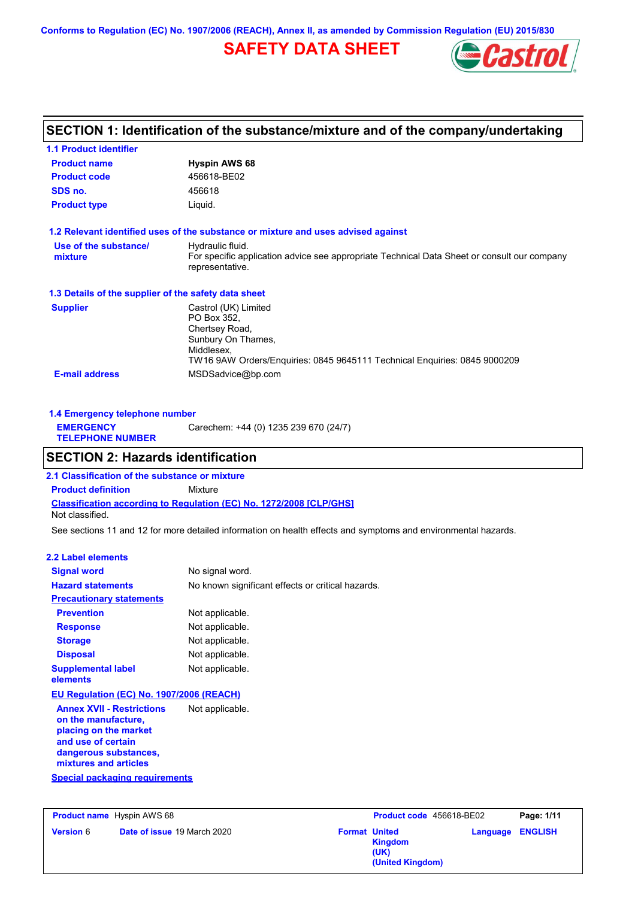**Conforms to Regulation (EC) No. 1907/2006 (REACH), Annex II, as amended by Commission Regulation (EU) 2015/830**

# **SAFETY DATA SHEET**



# **SECTION 1: Identification of the substance/mixture and of the company/undertaking**

| <b>1.1 Product identifier</b>                        |                                                                                                                                                                        |
|------------------------------------------------------|------------------------------------------------------------------------------------------------------------------------------------------------------------------------|
| <b>Product name</b>                                  | <b>Hyspin AWS 68</b>                                                                                                                                                   |
| <b>Product code</b>                                  | 456618-BE02                                                                                                                                                            |
| SDS no.                                              | 456618                                                                                                                                                                 |
| <b>Product type</b>                                  | Liquid.                                                                                                                                                                |
|                                                      | 1.2 Relevant identified uses of the substance or mixture and uses advised against                                                                                      |
| Use of the substance/<br>mixture                     | Hydraulic fluid.<br>For specific application advice see appropriate Technical Data Sheet or consult our company<br>representative.                                     |
| 1.3 Details of the supplier of the safety data sheet |                                                                                                                                                                        |
| <b>Supplier</b>                                      | Castrol (UK) Limited<br>PO Box 352.<br>Chertsey Road,<br>Sunbury On Thames,<br>Middlesex.<br>TW16 9AW Orders/Enquiries: 0845 9645111 Technical Enquiries: 0845 9000209 |
| <b>E-mail address</b>                                | MSDSadvice@bp.com                                                                                                                                                      |

| 1.4 Emergency telephone number              |                                       |
|---------------------------------------------|---------------------------------------|
| <b>EMERGENCY</b><br><b>TELEPHONE NUMBER</b> | Carechem: +44 (0) 1235 239 670 (24/7) |

# **SECTION 2: Hazards identification**

**Classification according to Regulation (EC) No. 1272/2008 [CLP/GHS] 2.1 Classification of the substance or mixture Product definition** Mixture Not classified.

See sections 11 and 12 for more detailed information on health effects and symptoms and environmental hazards.

### **2.2 Label elements**

| <b>Signal word</b>                                                                                                                                                                                | No signal word.                                   |
|---------------------------------------------------------------------------------------------------------------------------------------------------------------------------------------------------|---------------------------------------------------|
| <b>Hazard statements</b>                                                                                                                                                                          | No known significant effects or critical hazards. |
| <b>Precautionary statements</b>                                                                                                                                                                   |                                                   |
| <b>Prevention</b>                                                                                                                                                                                 | Not applicable.                                   |
| <b>Response</b>                                                                                                                                                                                   | Not applicable.                                   |
| <b>Storage</b>                                                                                                                                                                                    | Not applicable.                                   |
| <b>Disposal</b>                                                                                                                                                                                   | Not applicable.                                   |
| <b>Supplemental label</b><br>elements                                                                                                                                                             | Not applicable.                                   |
| EU Regulation (EC) No. 1907/2006 (REACH)                                                                                                                                                          |                                                   |
| <b>Annex XVII - Restrictions</b><br>on the manufacture,<br>placing on the market<br>and use of certain<br>dangerous substances,<br>mixtures and articles<br><b>Special packaging requirements</b> | Not applicable.                                   |
|                                                                                                                                                                                                   |                                                   |

| <b>Product name</b> Hyspin AWS 68                      |  | Product code 456618-BE02 |                                            | Page: 1/11              |  |
|--------------------------------------------------------|--|--------------------------|--------------------------------------------|-------------------------|--|
| <b>Date of issue 19 March 2020</b><br><b>Version 6</b> |  | <b>Format United</b>     | <b>Kingdom</b><br>(UK)<br>(United Kingdom) | <b>Language ENGLISH</b> |  |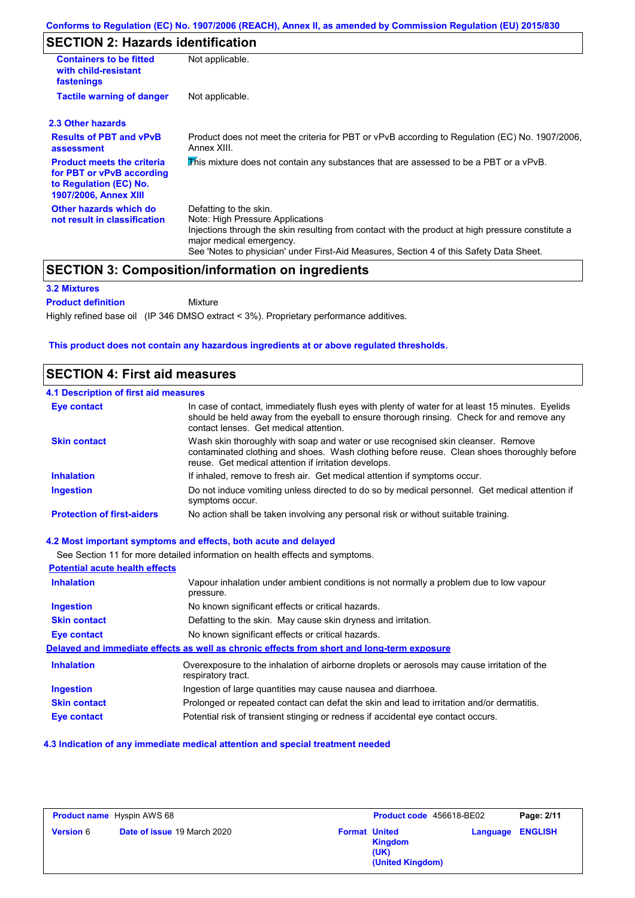# **SECTION 2: Hazards identification**

| <b>Containers to be fitted</b>                                                                                           | Not applicable.                                                                                                                                                                                                                                                                        |  |  |  |
|--------------------------------------------------------------------------------------------------------------------------|----------------------------------------------------------------------------------------------------------------------------------------------------------------------------------------------------------------------------------------------------------------------------------------|--|--|--|
| with child-resistant<br>fastenings                                                                                       |                                                                                                                                                                                                                                                                                        |  |  |  |
| <b>Tactile warning of danger</b>                                                                                         | Not applicable.                                                                                                                                                                                                                                                                        |  |  |  |
| 2.3 Other hazards                                                                                                        |                                                                                                                                                                                                                                                                                        |  |  |  |
| <b>Results of PBT and vPvB</b><br>assessment                                                                             | Product does not meet the criteria for PBT or vPvB according to Regulation (EC) No. 1907/2006.<br>Annex XIII.                                                                                                                                                                          |  |  |  |
| <b>Product meets the criteria</b><br>for PBT or vPvB according<br>to Regulation (EC) No.<br><b>1907/2006, Annex XIII</b> | This mixture does not contain any substances that are assessed to be a PBT or a vPvB.                                                                                                                                                                                                  |  |  |  |
| Other hazards which do<br>not result in classification                                                                   | Defatting to the skin.<br>Note: High Pressure Applications<br>Injections through the skin resulting from contact with the product at high pressure constitute a<br>major medical emergency.<br>See 'Notes to physician' under First-Aid Measures, Section 4 of this Safety Data Sheet. |  |  |  |

# **SECTION 3: Composition/information on ingredients**

Mixture

### **3.2 Mixtures**

**Product definition**

Highly refined base oil (IP 346 DMSO extract < 3%). Proprietary performance additives.

### **This product does not contain any hazardous ingredients at or above regulated thresholds.**

## **SECTION 4: First aid measures**

### **4.1 Description of first aid measures**

| Eye contact                       | In case of contact, immediately flush eyes with plenty of water for at least 15 minutes. Eyelids<br>should be held away from the eyeball to ensure thorough rinsing. Check for and remove any<br>contact lenses. Get medical attention. |
|-----------------------------------|-----------------------------------------------------------------------------------------------------------------------------------------------------------------------------------------------------------------------------------------|
| <b>Skin contact</b>               | Wash skin thoroughly with soap and water or use recognised skin cleanser. Remove<br>contaminated clothing and shoes. Wash clothing before reuse. Clean shoes thoroughly before<br>reuse. Get medical attention if irritation develops.  |
| <b>Inhalation</b>                 | If inhaled, remove to fresh air. Get medical attention if symptoms occur.                                                                                                                                                               |
| <b>Ingestion</b>                  | Do not induce vomiting unless directed to do so by medical personnel. Get medical attention if<br>symptoms occur.                                                                                                                       |
| <b>Protection of first-aiders</b> | No action shall be taken involving any personal risk or without suitable training.                                                                                                                                                      |

#### **4.2 Most important symptoms and effects, both acute and delayed**

See Section 11 for more detailed information on health effects and symptoms.

| <b>Potential acute health effects</b> |                                                                                                                   |
|---------------------------------------|-------------------------------------------------------------------------------------------------------------------|
| <b>Inhalation</b>                     | Vapour inhalation under ambient conditions is not normally a problem due to low vapour<br>pressure.               |
| <b>Ingestion</b>                      | No known significant effects or critical hazards.                                                                 |
| <b>Skin contact</b>                   | Defatting to the skin. May cause skin dryness and irritation.                                                     |
| Eye contact                           | No known significant effects or critical hazards.                                                                 |
|                                       | Delayed and immediate effects as well as chronic effects from short and long-term exposure                        |
| <b>Inhalation</b>                     | Overexposure to the inhalation of airborne droplets or aerosols may cause irritation of the<br>respiratory tract. |
| <b>Ingestion</b>                      | Ingestion of large quantities may cause nausea and diarrhoea.                                                     |
| <b>Skin contact</b>                   | Prolonged or repeated contact can defat the skin and lead to irritation and/or dermatitis.                        |
| <b>Eye contact</b>                    | Potential risk of transient stinging or redness if accidental eye contact occurs.                                 |

### **4.3 Indication of any immediate medical attention and special treatment needed**

| <b>Product name</b> Hyspin AWS 68 |                                    | Product code 456618-BE02 |                                            | Page: 2/11              |  |
|-----------------------------------|------------------------------------|--------------------------|--------------------------------------------|-------------------------|--|
| <b>Version 6</b>                  | <b>Date of issue 19 March 2020</b> | <b>Format United</b>     | <b>Kingdom</b><br>(UK)<br>(United Kingdom) | <b>Language ENGLISH</b> |  |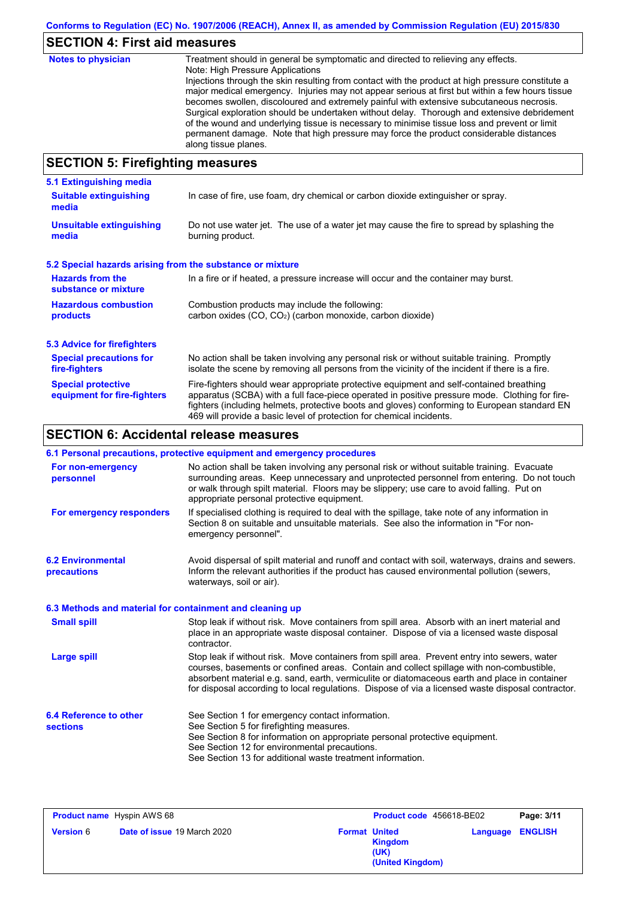# **SECTION 4: First aid measures**

| <b>Notes to physician</b>                           | Treatment should in general be symptomatic and directed to relieving any effects.<br>Note: High Pressure Applications<br>Injections through the skin resulting from contact with the product at high pressure constitute a<br>major medical emergency. Injuries may not appear serious at first but within a few hours tissue<br>becomes swollen, discoloured and extremely painful with extensive subcutaneous necrosis.<br>Surgical exploration should be undertaken without delay. Thorough and extensive debridement<br>of the wound and underlying tissue is necessary to minimise tissue loss and prevent or limit<br>permanent damage. Note that high pressure may force the product considerable distances<br>along tissue planes. |
|-----------------------------------------------------|--------------------------------------------------------------------------------------------------------------------------------------------------------------------------------------------------------------------------------------------------------------------------------------------------------------------------------------------------------------------------------------------------------------------------------------------------------------------------------------------------------------------------------------------------------------------------------------------------------------------------------------------------------------------------------------------------------------------------------------------|
| $C$ E $C$ TI $\Omega$ bi E. Einefinishem meagailmea |                                                                                                                                                                                                                                                                                                                                                                                                                                                                                                                                                                                                                                                                                                                                            |

# **SECTION 5: Firefighting measures**

| 5.1 Extinguishing media                                   |                                                                                                                                                                                                                                                                                                                                                                   |
|-----------------------------------------------------------|-------------------------------------------------------------------------------------------------------------------------------------------------------------------------------------------------------------------------------------------------------------------------------------------------------------------------------------------------------------------|
| <b>Suitable extinguishing</b><br>media                    | In case of fire, use foam, dry chemical or carbon dioxide extinguisher or spray.                                                                                                                                                                                                                                                                                  |
| <b>Unsuitable extinguishing</b><br>media                  | Do not use water jet. The use of a water jet may cause the fire to spread by splashing the<br>burning product.                                                                                                                                                                                                                                                    |
| 5.2 Special hazards arising from the substance or mixture |                                                                                                                                                                                                                                                                                                                                                                   |
| <b>Hazards from the</b><br>substance or mixture           | In a fire or if heated, a pressure increase will occur and the container may burst.                                                                                                                                                                                                                                                                               |
| <b>Hazardous combustion</b><br>products                   | Combustion products may include the following:<br>carbon oxides (CO, CO <sub>2</sub> ) (carbon monoxide, carbon dioxide)                                                                                                                                                                                                                                          |
| 5.3 Advice for firefighters                               |                                                                                                                                                                                                                                                                                                                                                                   |
| <b>Special precautions for</b><br>fire-fighters           | No action shall be taken involving any personal risk or without suitable training. Promptly<br>isolate the scene by removing all persons from the vicinity of the incident if there is a fire.                                                                                                                                                                    |
| <b>Special protective</b><br>equipment for fire-fighters  | Fire-fighters should wear appropriate protective equipment and self-contained breathing<br>apparatus (SCBA) with a full face-piece operated in positive pressure mode. Clothing for fire-<br>fighters (including helmets, protective boots and gloves) conforming to European standard EN<br>469 will provide a basic level of protection for chemical incidents. |

# **SECTION 6: Accidental release measures**

|                                                          | 6.1 Personal precautions, protective equipment and emergency procedures                                                                                                                                                                                                                                                                                                                        |
|----------------------------------------------------------|------------------------------------------------------------------------------------------------------------------------------------------------------------------------------------------------------------------------------------------------------------------------------------------------------------------------------------------------------------------------------------------------|
| For non-emergency<br>personnel                           | No action shall be taken involving any personal risk or without suitable training. Evacuate<br>surrounding areas. Keep unnecessary and unprotected personnel from entering. Do not touch<br>or walk through spilt material. Floors may be slippery; use care to avoid falling. Put on<br>appropriate personal protective equipment.                                                            |
| For emergency responders                                 | If specialised clothing is required to deal with the spillage, take note of any information in<br>Section 8 on suitable and unsuitable materials. See also the information in "For non-<br>emergency personnel".                                                                                                                                                                               |
| <b>6.2 Environmental</b><br>precautions                  | Avoid dispersal of spilt material and runoff and contact with soil, waterways, drains and sewers.<br>Inform the relevant authorities if the product has caused environmental pollution (sewers,<br>waterways, soil or air).                                                                                                                                                                    |
| 6.3 Methods and material for containment and cleaning up |                                                                                                                                                                                                                                                                                                                                                                                                |
| <b>Small spill</b>                                       | Stop leak if without risk. Move containers from spill area. Absorb with an inert material and<br>place in an appropriate waste disposal container. Dispose of via a licensed waste disposal<br>contractor.                                                                                                                                                                                     |
| <b>Large spill</b>                                       | Stop leak if without risk. Move containers from spill area. Prevent entry into sewers, water<br>courses, basements or confined areas. Contain and collect spillage with non-combustible,<br>absorbent material e.g. sand, earth, vermiculite or diatomaceous earth and place in container<br>for disposal according to local regulations. Dispose of via a licensed waste disposal contractor. |
| 6.4 Reference to other<br><b>sections</b>                | See Section 1 for emergency contact information.<br>See Section 5 for firefighting measures.<br>See Section 8 for information on appropriate personal protective equipment.                                                                                                                                                                                                                    |
|                                                          | See Section 12 for environmental precautions.<br>See Section 13 for additional waste treatment information.                                                                                                                                                                                                                                                                                    |

| <b>Product name</b> Hyspin AWS 68 |                                    | Product code 456618-BE02 |                                     | Page: 3/11              |  |
|-----------------------------------|------------------------------------|--------------------------|-------------------------------------|-------------------------|--|
| <b>Version 6</b>                  | <b>Date of issue 19 March 2020</b> | <b>Format United</b>     | Kingdom<br>(UK)<br>(United Kingdom) | <b>Language ENGLISH</b> |  |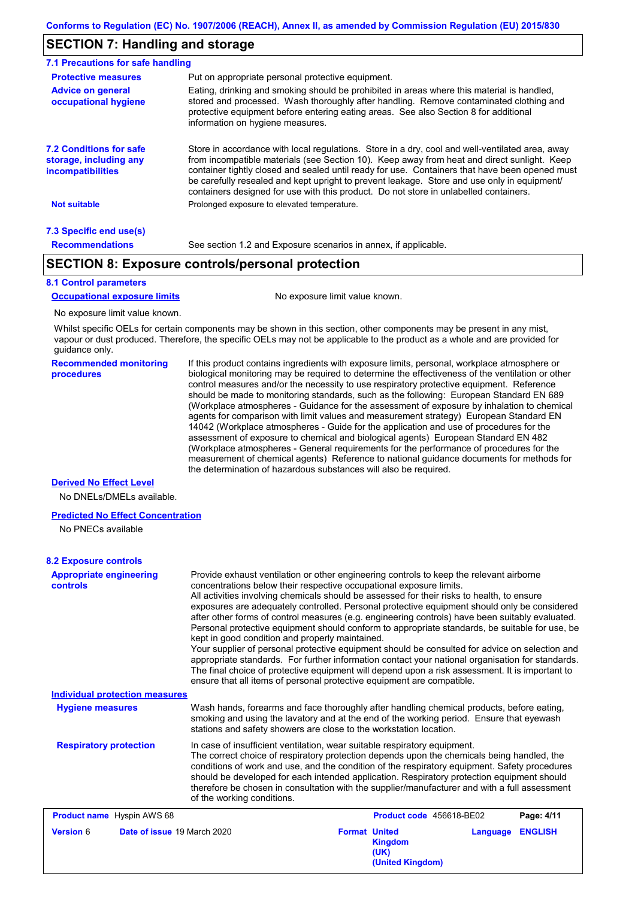## **SECTION 7: Handling and storage**

| 7.1 Precautions for safe handling                                                    |                                                                                                                                                                                                                                                                                                                                                                                                                                                                                          |
|--------------------------------------------------------------------------------------|------------------------------------------------------------------------------------------------------------------------------------------------------------------------------------------------------------------------------------------------------------------------------------------------------------------------------------------------------------------------------------------------------------------------------------------------------------------------------------------|
| <b>Protective measures</b>                                                           | Put on appropriate personal protective equipment.                                                                                                                                                                                                                                                                                                                                                                                                                                        |
| <b>Advice on general</b><br>occupational hygiene                                     | Eating, drinking and smoking should be prohibited in areas where this material is handled,<br>stored and processed. Wash thoroughly after handling. Remove contaminated clothing and<br>protective equipment before entering eating areas. See also Section 8 for additional<br>information on hygiene measures.                                                                                                                                                                         |
| <b>7.2 Conditions for safe</b><br>storage, including any<br><i>incompatibilities</i> | Store in accordance with local requiations. Store in a dry, cool and well-ventilated area, away<br>from incompatible materials (see Section 10). Keep away from heat and direct sunlight. Keep<br>container tightly closed and sealed until ready for use. Containers that have been opened must<br>be carefully resealed and kept upright to prevent leakage. Store and use only in equipment/<br>containers designed for use with this product. Do not store in unlabelled containers. |
| <b>Not suitable</b>                                                                  | Prolonged exposure to elevated temperature.                                                                                                                                                                                                                                                                                                                                                                                                                                              |
| 7.3 Specific end use(s)                                                              |                                                                                                                                                                                                                                                                                                                                                                                                                                                                                          |
| <b>Recommendations</b>                                                               | See section 1.2 and Exposure scenarios in annex, if applicable.                                                                                                                                                                                                                                                                                                                                                                                                                          |

## **SECTION 8: Exposure controls/personal protection**

#### **8.1 Control parameters**

**Occupational exposure limits** No exposure limit value known.

No exposure limit value known.

Whilst specific OELs for certain components may be shown in this section, other components may be present in any mist, vapour or dust produced. Therefore, the specific OELs may not be applicable to the product as a whole and are provided for guidance only.

**Recommended monitoring procedures** If this product contains ingredients with exposure limits, personal, workplace atmosphere or biological monitoring may be required to determine the effectiveness of the ventilation or other control measures and/or the necessity to use respiratory protective equipment. Reference should be made to monitoring standards, such as the following: European Standard EN 689 (Workplace atmospheres - Guidance for the assessment of exposure by inhalation to chemical agents for comparison with limit values and measurement strategy) European Standard EN 14042 (Workplace atmospheres - Guide for the application and use of procedures for the assessment of exposure to chemical and biological agents) European Standard EN 482 (Workplace atmospheres - General requirements for the performance of procedures for the measurement of chemical agents) Reference to national guidance documents for methods for the determination of hazardous substances will also be required.

#### **Derived No Effect Level**

No DNELs/DMELs available.

#### **Predicted No Effect Concentration**

No PNECs available

#### **8.2 Exposure controls**

| <b>Appropriate engineering</b><br><b>controls</b><br><b>Individual protection measures</b> | Provide exhaust ventilation or other engineering controls to keep the relevant airborne<br>concentrations below their respective occupational exposure limits.<br>All activities involving chemicals should be assessed for their risks to health, to ensure<br>exposures are adequately controlled. Personal protective equipment should only be considered<br>after other forms of control measures (e.g. engineering controls) have been suitably evaluated.<br>Personal protective equipment should conform to appropriate standards, be suitable for use, be<br>kept in good condition and properly maintained.<br>Your supplier of personal protective equipment should be consulted for advice on selection and<br>appropriate standards. For further information contact your national organisation for standards.<br>The final choice of protective equipment will depend upon a risk assessment. It is important to<br>ensure that all items of personal protective equipment are compatible. |                      |                          |          |                |
|--------------------------------------------------------------------------------------------|---------------------------------------------------------------------------------------------------------------------------------------------------------------------------------------------------------------------------------------------------------------------------------------------------------------------------------------------------------------------------------------------------------------------------------------------------------------------------------------------------------------------------------------------------------------------------------------------------------------------------------------------------------------------------------------------------------------------------------------------------------------------------------------------------------------------------------------------------------------------------------------------------------------------------------------------------------------------------------------------------------|----------------------|--------------------------|----------|----------------|
|                                                                                            |                                                                                                                                                                                                                                                                                                                                                                                                                                                                                                                                                                                                                                                                                                                                                                                                                                                                                                                                                                                                         |                      |                          |          |                |
| <b>Hygiene measures</b>                                                                    | Wash hands, forearms and face thoroughly after handling chemical products, before eating,<br>smoking and using the lavatory and at the end of the working period. Ensure that eyewash<br>stations and safety showers are close to the workstation location.                                                                                                                                                                                                                                                                                                                                                                                                                                                                                                                                                                                                                                                                                                                                             |                      |                          |          |                |
| <b>Respiratory protection</b>                                                              | In case of insufficient ventilation, wear suitable respiratory equipment.<br>The correct choice of respiratory protection depends upon the chemicals being handled, the<br>conditions of work and use, and the condition of the respiratory equipment. Safety procedures<br>should be developed for each intended application. Respiratory protection equipment should<br>therefore be chosen in consultation with the supplier/manufacturer and with a full assessment<br>of the working conditions.                                                                                                                                                                                                                                                                                                                                                                                                                                                                                                   |                      |                          |          |                |
| <b>Product name</b> Hyspin AWS 68                                                          |                                                                                                                                                                                                                                                                                                                                                                                                                                                                                                                                                                                                                                                                                                                                                                                                                                                                                                                                                                                                         |                      | Product code 456618-BE02 |          | Page: 4/11     |
| <b>Version 6</b><br>Date of issue 19 March 2020                                            |                                                                                                                                                                                                                                                                                                                                                                                                                                                                                                                                                                                                                                                                                                                                                                                                                                                                                                                                                                                                         | <b>Format United</b> | <b>Kingdom</b>           | Language | <b>ENGLISH</b> |

**Kingdom (UK) (United Kingdom)**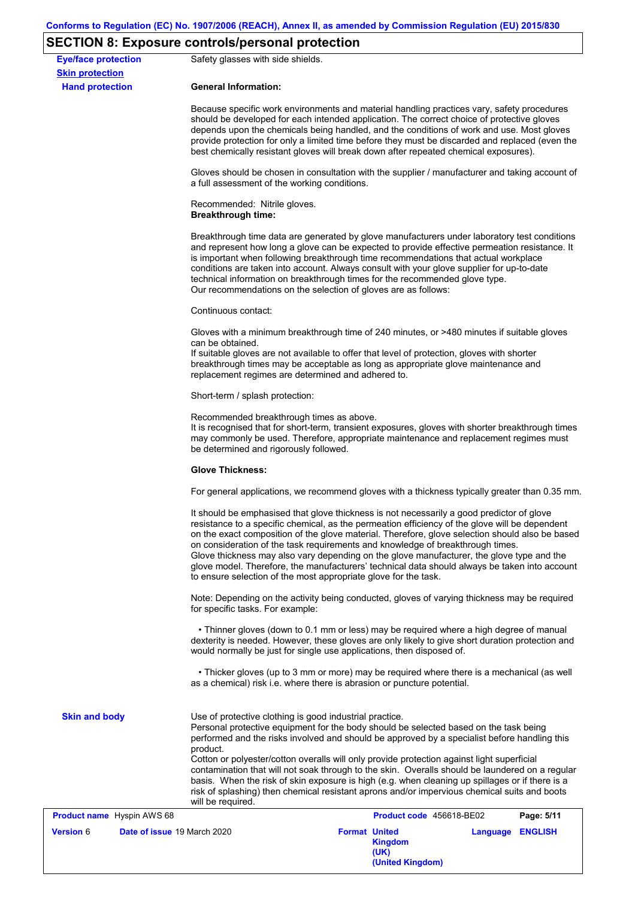# **SECTION 8: Exposure controls/personal protection**

| <b>Eye/face protection</b><br><b>Skin protection</b> | Safety glasses with side shields.                                                                                                                                                                                                                                                                                                                                                                                                                                                                                                                                                                                                                 |  |  |  |  |  |
|------------------------------------------------------|---------------------------------------------------------------------------------------------------------------------------------------------------------------------------------------------------------------------------------------------------------------------------------------------------------------------------------------------------------------------------------------------------------------------------------------------------------------------------------------------------------------------------------------------------------------------------------------------------------------------------------------------------|--|--|--|--|--|
| <b>Hand protection</b>                               | <b>General Information:</b>                                                                                                                                                                                                                                                                                                                                                                                                                                                                                                                                                                                                                       |  |  |  |  |  |
|                                                      | Because specific work environments and material handling practices vary, safety procedures<br>should be developed for each intended application. The correct choice of protective gloves<br>depends upon the chemicals being handled, and the conditions of work and use. Most gloves<br>provide protection for only a limited time before they must be discarded and replaced (even the<br>best chemically resistant gloves will break down after repeated chemical exposures).                                                                                                                                                                  |  |  |  |  |  |
|                                                      | Gloves should be chosen in consultation with the supplier / manufacturer and taking account of<br>a full assessment of the working conditions.                                                                                                                                                                                                                                                                                                                                                                                                                                                                                                    |  |  |  |  |  |
|                                                      | Recommended: Nitrile gloves.<br><b>Breakthrough time:</b>                                                                                                                                                                                                                                                                                                                                                                                                                                                                                                                                                                                         |  |  |  |  |  |
|                                                      | Breakthrough time data are generated by glove manufacturers under laboratory test conditions<br>and represent how long a glove can be expected to provide effective permeation resistance. It<br>is important when following breakthrough time recommendations that actual workplace<br>conditions are taken into account. Always consult with your glove supplier for up-to-date<br>technical information on breakthrough times for the recommended glove type.<br>Our recommendations on the selection of gloves are as follows:                                                                                                                |  |  |  |  |  |
|                                                      | Continuous contact:                                                                                                                                                                                                                                                                                                                                                                                                                                                                                                                                                                                                                               |  |  |  |  |  |
|                                                      | Gloves with a minimum breakthrough time of 240 minutes, or >480 minutes if suitable gloves<br>can be obtained.<br>If suitable gloves are not available to offer that level of protection, gloves with shorter<br>breakthrough times may be acceptable as long as appropriate glove maintenance and<br>replacement regimes are determined and adhered to.                                                                                                                                                                                                                                                                                          |  |  |  |  |  |
|                                                      | Short-term / splash protection:                                                                                                                                                                                                                                                                                                                                                                                                                                                                                                                                                                                                                   |  |  |  |  |  |
|                                                      | Recommended breakthrough times as above.<br>It is recognised that for short-term, transient exposures, gloves with shorter breakthrough times<br>may commonly be used. Therefore, appropriate maintenance and replacement regimes must<br>be determined and rigorously followed.                                                                                                                                                                                                                                                                                                                                                                  |  |  |  |  |  |
|                                                      | <b>Glove Thickness:</b>                                                                                                                                                                                                                                                                                                                                                                                                                                                                                                                                                                                                                           |  |  |  |  |  |
|                                                      | For general applications, we recommend gloves with a thickness typically greater than 0.35 mm.                                                                                                                                                                                                                                                                                                                                                                                                                                                                                                                                                    |  |  |  |  |  |
|                                                      | It should be emphasised that glove thickness is not necessarily a good predictor of glove<br>resistance to a specific chemical, as the permeation efficiency of the glove will be dependent<br>on the exact composition of the glove material. Therefore, glove selection should also be based<br>on consideration of the task requirements and knowledge of breakthrough times.<br>Glove thickness may also vary depending on the glove manufacturer, the glove type and the<br>glove model. Therefore, the manufacturers' technical data should always be taken into account<br>to ensure selection of the most appropriate glove for the task. |  |  |  |  |  |
|                                                      | Note: Depending on the activity being conducted, gloves of varying thickness may be required<br>for specific tasks. For example:                                                                                                                                                                                                                                                                                                                                                                                                                                                                                                                  |  |  |  |  |  |
|                                                      | • Thinner gloves (down to 0.1 mm or less) may be required where a high degree of manual<br>dexterity is needed. However, these gloves are only likely to give short duration protection and<br>would normally be just for single use applications, then disposed of.                                                                                                                                                                                                                                                                                                                                                                              |  |  |  |  |  |
|                                                      | • Thicker gloves (up to 3 mm or more) may be required where there is a mechanical (as well<br>as a chemical) risk i.e. where there is abrasion or puncture potential.                                                                                                                                                                                                                                                                                                                                                                                                                                                                             |  |  |  |  |  |
| <b>Skin and body</b>                                 | Use of protective clothing is good industrial practice.<br>Personal protective equipment for the body should be selected based on the task being<br>performed and the risks involved and should be approved by a specialist before handling this<br>product.<br>Cotton or polyester/cotton overalls will only provide protection against light superficial                                                                                                                                                                                                                                                                                        |  |  |  |  |  |
|                                                      | contamination that will not soak through to the skin. Overalls should be laundered on a regular<br>basis. When the risk of skin exposure is high (e.g. when cleaning up spillages or if there is a<br>risk of splashing) then chemical resistant aprons and/or impervious chemical suits and boots<br>will be required.                                                                                                                                                                                                                                                                                                                           |  |  |  |  |  |
| <b>Product name</b> Hyspin AWS 68                    | Product code 456618-BE02<br>Page: 5/11                                                                                                                                                                                                                                                                                                                                                                                                                                                                                                                                                                                                            |  |  |  |  |  |
| <b>Version</b> 6                                     | Date of issue 19 March 2020<br><b>Format United</b><br>Language ENGLISH<br><b>Kingdom</b><br>(UK)<br>(United Kingdom)                                                                                                                                                                                                                                                                                                                                                                                                                                                                                                                             |  |  |  |  |  |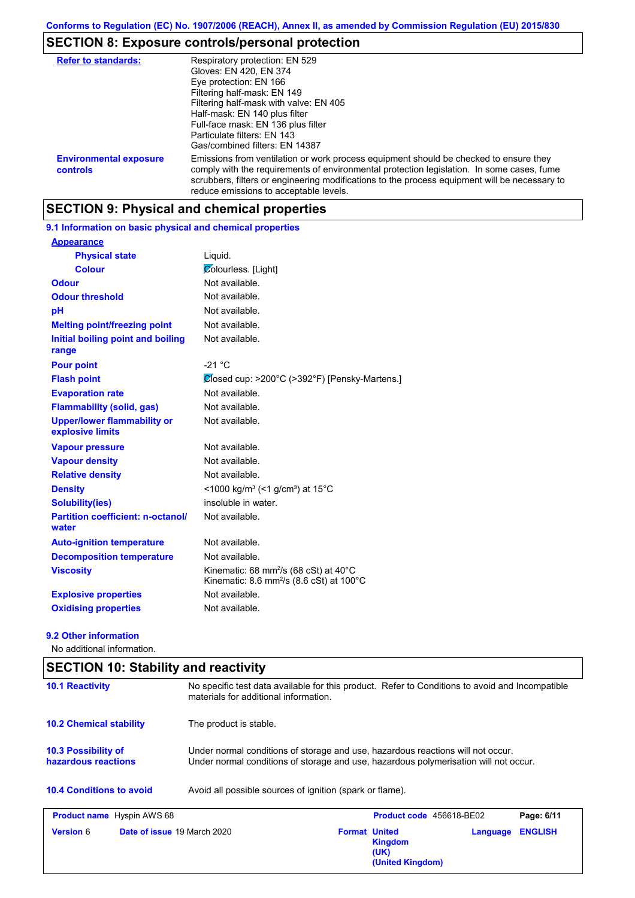# **SECTION 8: Exposure controls/personal protection**

| <b>Refer to standards:</b>                | Respiratory protection: EN 529<br>Gloves: EN 420, EN 374<br>Eye protection: EN 166<br>Filtering half-mask: EN 149<br>Filtering half-mask with valve: EN 405<br>Half-mask: EN 140 plus filter<br>Full-face mask: EN 136 plus filter<br>Particulate filters: EN 143<br>Gas/combined filters: EN 14387                           |
|-------------------------------------------|-------------------------------------------------------------------------------------------------------------------------------------------------------------------------------------------------------------------------------------------------------------------------------------------------------------------------------|
| <b>Environmental exposure</b><br>controls | Emissions from ventilation or work process equipment should be checked to ensure they<br>comply with the requirements of environmental protection legislation. In some cases, fume<br>scrubbers, filters or engineering modifications to the process equipment will be necessary to<br>reduce emissions to acceptable levels. |

# **SECTION 9: Physical and chemical properties**

## **9.1 Information on basic physical and chemical properties**

| <b>Appearance</b>                                      |                                                                                                                               |
|--------------------------------------------------------|-------------------------------------------------------------------------------------------------------------------------------|
| <b>Physical state</b>                                  | Liquid.                                                                                                                       |
| <b>Colour</b>                                          | Colourless. [Light]                                                                                                           |
| Odour                                                  | Not available.                                                                                                                |
| <b>Odour threshold</b>                                 | Not available.                                                                                                                |
| pH                                                     | Not available.                                                                                                                |
| <b>Melting point/freezing point</b>                    | Not available.                                                                                                                |
| Initial boiling point and boiling<br>range             | Not available.                                                                                                                |
| <b>Pour point</b>                                      | $-21 °C$                                                                                                                      |
| <b>Flash point</b>                                     | $\mathcal{Q}$ losed cup: >200°C (>392°F) [Pensky-Martens.]                                                                    |
| <b>Evaporation rate</b>                                | Not available.                                                                                                                |
| <b>Flammability (solid, gas)</b>                       | Not available.                                                                                                                |
| <b>Upper/lower flammability or</b><br>explosive limits | Not available.                                                                                                                |
| <b>Vapour pressure</b>                                 | Not available.                                                                                                                |
| <b>Vapour density</b>                                  | Not available.                                                                                                                |
| <b>Relative density</b>                                | Not available.                                                                                                                |
| <b>Density</b>                                         | <1000 kg/m <sup>3</sup> (<1 g/cm <sup>3</sup> ) at 15 <sup>°</sup> C                                                          |
| Solubility(ies)                                        | insoluble in water.                                                                                                           |
| <b>Partition coefficient: n-octanol/</b><br>water      | Not available.                                                                                                                |
| <b>Auto-ignition temperature</b>                       | Not available.                                                                                                                |
| <b>Decomposition temperature</b>                       | Not available.                                                                                                                |
| <b>Viscosity</b>                                       | Kinematic: 68 mm <sup>2</sup> /s (68 cSt) at $40^{\circ}$ C<br>Kinematic: 8.6 mm <sup>2</sup> /s (8.6 cSt) at $100^{\circ}$ C |
| <b>Explosive properties</b>                            | Not available                                                                                                                 |
| <b>Oxidising properties</b>                            | Not available.                                                                                                                |

#### **9.2 Other information**

No additional information.

| <b>SECTION 10: Stability and reactivity</b> |                                                                                                                                                                         |                      |                                            |          |                |
|---------------------------------------------|-------------------------------------------------------------------------------------------------------------------------------------------------------------------------|----------------------|--------------------------------------------|----------|----------------|
| <b>10.1 Reactivity</b>                      | No specific test data available for this product. Refer to Conditions to avoid and Incompatible<br>materials for additional information.                                |                      |                                            |          |                |
| <b>10.2 Chemical stability</b>              | The product is stable.                                                                                                                                                  |                      |                                            |          |                |
| 10.3 Possibility of<br>hazardous reactions  | Under normal conditions of storage and use, hazardous reactions will not occur.<br>Under normal conditions of storage and use, hazardous polymerisation will not occur. |                      |                                            |          |                |
| <b>10.4 Conditions to avoid</b>             | Avoid all possible sources of ignition (spark or flame).                                                                                                                |                      |                                            |          |                |
| <b>Product name</b> Hyspin AWS 68           |                                                                                                                                                                         |                      | Product code 456618-BE02                   |          | Page: 6/11     |
| <b>Version 6</b>                            | <b>Date of issue 19 March 2020</b>                                                                                                                                      | <b>Format United</b> | <b>Kingdom</b><br>(UK)<br>(United Kingdom) | Language | <b>ENGLISH</b> |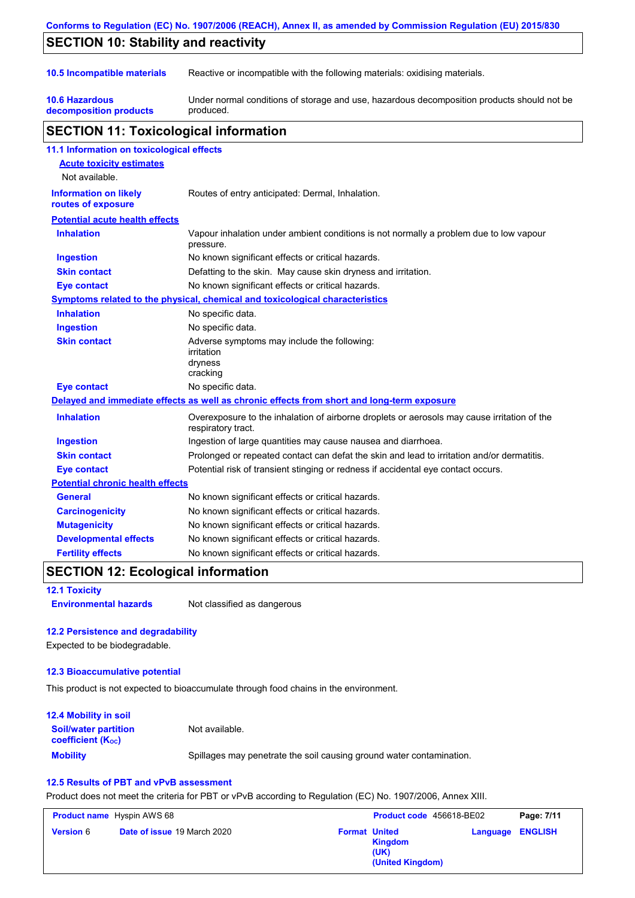| <b>SECTION 10: Stability and reactivity</b>                                                                |                                                                                                                   |  |  |  |  |
|------------------------------------------------------------------------------------------------------------|-------------------------------------------------------------------------------------------------------------------|--|--|--|--|
| 10.5 Incompatible materials<br>Reactive or incompatible with the following materials: oxidising materials. |                                                                                                                   |  |  |  |  |
| <b>10.6 Hazardous</b><br>decomposition products                                                            | Under normal conditions of storage and use, hazardous decomposition products should not be<br>produced.           |  |  |  |  |
| <b>SECTION 11: Toxicological information</b>                                                               |                                                                                                                   |  |  |  |  |
| 11.1 Information on toxicological effects                                                                  |                                                                                                                   |  |  |  |  |
| <b>Acute toxicity estimates</b>                                                                            |                                                                                                                   |  |  |  |  |
| Not available.                                                                                             |                                                                                                                   |  |  |  |  |
| <b>Information on likely</b><br>routes of exposure                                                         | Routes of entry anticipated: Dermal, Inhalation.                                                                  |  |  |  |  |
| <b>Potential acute health effects</b>                                                                      |                                                                                                                   |  |  |  |  |
| <b>Inhalation</b>                                                                                          | Vapour inhalation under ambient conditions is not normally a problem due to low vapour<br>pressure.               |  |  |  |  |
| <b>Ingestion</b>                                                                                           | No known significant effects or critical hazards.                                                                 |  |  |  |  |
| <b>Skin contact</b>                                                                                        | Defatting to the skin. May cause skin dryness and irritation.                                                     |  |  |  |  |
| Eye contact                                                                                                | No known significant effects or critical hazards.                                                                 |  |  |  |  |
|                                                                                                            | <b>Symptoms related to the physical, chemical and toxicological characteristics</b>                               |  |  |  |  |
| <b>Inhalation</b>                                                                                          | No specific data.                                                                                                 |  |  |  |  |
| <b>Ingestion</b>                                                                                           | No specific data.                                                                                                 |  |  |  |  |
| <b>Skin contact</b>                                                                                        | Adverse symptoms may include the following:<br>irritation<br>dryness<br>cracking                                  |  |  |  |  |
| <b>Eye contact</b>                                                                                         | No specific data.                                                                                                 |  |  |  |  |
|                                                                                                            | Delayed and immediate effects as well as chronic effects from short and long-term exposure                        |  |  |  |  |
| <b>Inhalation</b>                                                                                          | Overexposure to the inhalation of airborne droplets or aerosols may cause irritation of the<br>respiratory tract. |  |  |  |  |
| <b>Ingestion</b>                                                                                           | Ingestion of large quantities may cause nausea and diarrhoea.                                                     |  |  |  |  |
| <b>Skin contact</b>                                                                                        | Prolonged or repeated contact can defat the skin and lead to irritation and/or dermatitis.                        |  |  |  |  |
| <b>Eye contact</b>                                                                                         | Potential risk of transient stinging or redness if accidental eye contact occurs.                                 |  |  |  |  |
| <b>Potential chronic health effects</b>                                                                    |                                                                                                                   |  |  |  |  |
| <b>General</b>                                                                                             | No known significant effects or critical hazards.                                                                 |  |  |  |  |
| <b>Carcinogenicity</b>                                                                                     | No known significant effects or critical hazards.                                                                 |  |  |  |  |
| <b>Mutagenicity</b>                                                                                        | No known significant effects or critical hazards.                                                                 |  |  |  |  |
| <b>Developmental effects</b>                                                                               | No known significant effects or critical hazards.                                                                 |  |  |  |  |
| <b>Fertility effects</b>                                                                                   | No known significant effects or critical hazards.                                                                 |  |  |  |  |

### **12.1 Toxicity**

**Environmental hazards** Not classified as dangerous

## **12.2 Persistence and degradability**

Expected to be biodegradable.

## **12.3 Bioaccumulative potential**

This product is not expected to bioaccumulate through food chains in the environment.

| <b>12.4 Mobility in soil</b>                                  |                                                                      |
|---------------------------------------------------------------|----------------------------------------------------------------------|
| <b>Soil/water partition</b><br>coefficient (K <sub>oc</sub> ) | Not available.                                                       |
| <b>Mobility</b>                                               | Spillages may penetrate the soil causing ground water contamination. |

## **12.5 Results of PBT and vPvB assessment**

Product does not meet the criteria for PBT or vPvB according to Regulation (EC) No. 1907/2006, Annex XIII.

| <b>Product name</b> Hyspin AWS 68 |                                    | Product code 456618-BE02 |                                            | Page: 7/11              |  |
|-----------------------------------|------------------------------------|--------------------------|--------------------------------------------|-------------------------|--|
| <b>Version 6</b>                  | <b>Date of issue 19 March 2020</b> | <b>Format United</b>     | <b>Kingdom</b><br>(UK)<br>(United Kingdom) | <b>Language ENGLISH</b> |  |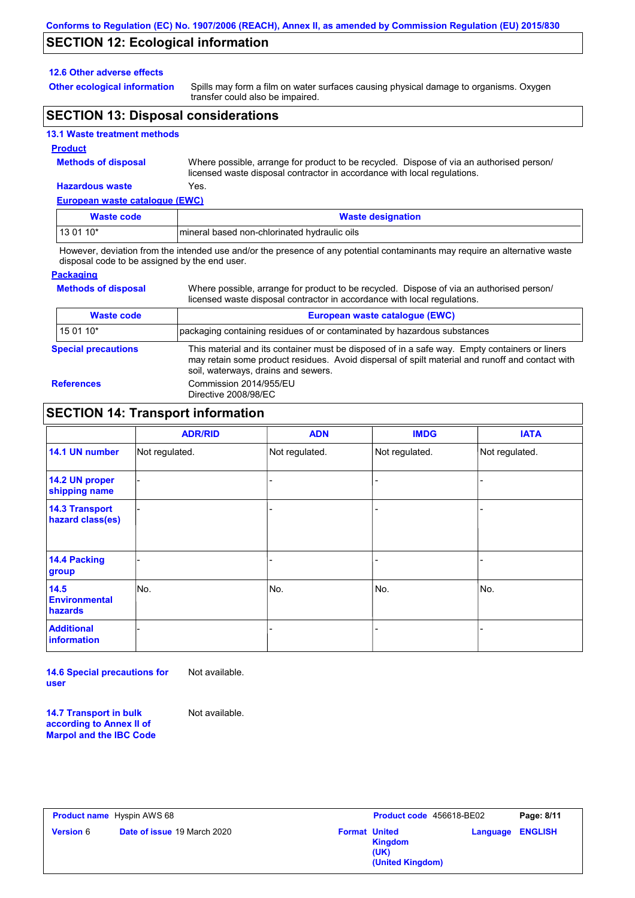# **SECTION 12: Ecological information**

#### **12.6 Other adverse effects**

**Other ecological information**

Spills may form a film on water surfaces causing physical damage to organisms. Oxygen transfer could also be impaired.

## **SECTION 13: Disposal considerations**

### **13.1 Waste treatment methods**

#### **Product**

**Methods of disposal**

Where possible, arrange for product to be recycled. Dispose of via an authorised person/ licensed waste disposal contractor in accordance with local regulations.

## **Hazardous waste** Yes.

| European waste catalogue (EWC) |                                              |  |  |
|--------------------------------|----------------------------------------------|--|--|
| <b>Waste code</b>              | <b>Waste designation</b>                     |  |  |
| $130110*$                      | mineral based non-chlorinated hydraulic oils |  |  |

However, deviation from the intended use and/or the presence of any potential contaminants may require an alternative waste disposal code to be assigned by the end user.

### **Packaging**

| <b>Methods of disposal</b> | Where possible, arrange for product to be recycled. Dispose of via an authorised person/<br>licensed waste disposal contractor in accordance with local regulations.                                                                    |
|----------------------------|-----------------------------------------------------------------------------------------------------------------------------------------------------------------------------------------------------------------------------------------|
| <b>Waste code</b>          | European waste catalogue (EWC)                                                                                                                                                                                                          |
| 15 01 10*                  | packaging containing residues of or contaminated by hazardous substances                                                                                                                                                                |
| <b>Special precautions</b> | This material and its container must be disposed of in a safe way. Empty containers or liners<br>may retain some product residues. Avoid dispersal of spilt material and runoff and contact with<br>soil, waterways, drains and sewers. |
| <b>References</b>          | Commission 2014/955/EU<br>Directive 2008/98/EC                                                                                                                                                                                          |

## **SECTION 14: Transport information**

|                                           | <b>ADR/RID</b> | <b>ADN</b>     | <b>IMDG</b>    | <b>IATA</b>    |
|-------------------------------------------|----------------|----------------|----------------|----------------|
| 14.1 UN number                            | Not regulated. | Not regulated. | Not regulated. | Not regulated. |
| 14.2 UN proper<br>shipping name           |                |                |                |                |
| <b>14.3 Transport</b><br>hazard class(es) |                |                |                |                |
| 14.4 Packing<br>group                     |                |                |                |                |
| 14.5<br><b>Environmental</b><br>hazards   | No.            | No.            | No.            | No.            |
| <b>Additional</b><br>information          |                |                |                |                |

**14.6 Special precautions for user** Not available.

**14.7 Transport in bulk according to Annex II of Marpol and the IBC Code** Not available.

|                  | <b>Product name</b> Hyspin AWS 68  |                      | Product code 456618-BE02            |                         | Page: 8/11 |
|------------------|------------------------------------|----------------------|-------------------------------------|-------------------------|------------|
| <b>Version</b> 6 | <b>Date of issue 19 March 2020</b> | <b>Format United</b> | Kingdom<br>(UK)<br>(United Kingdom) | <b>Language ENGLISH</b> |            |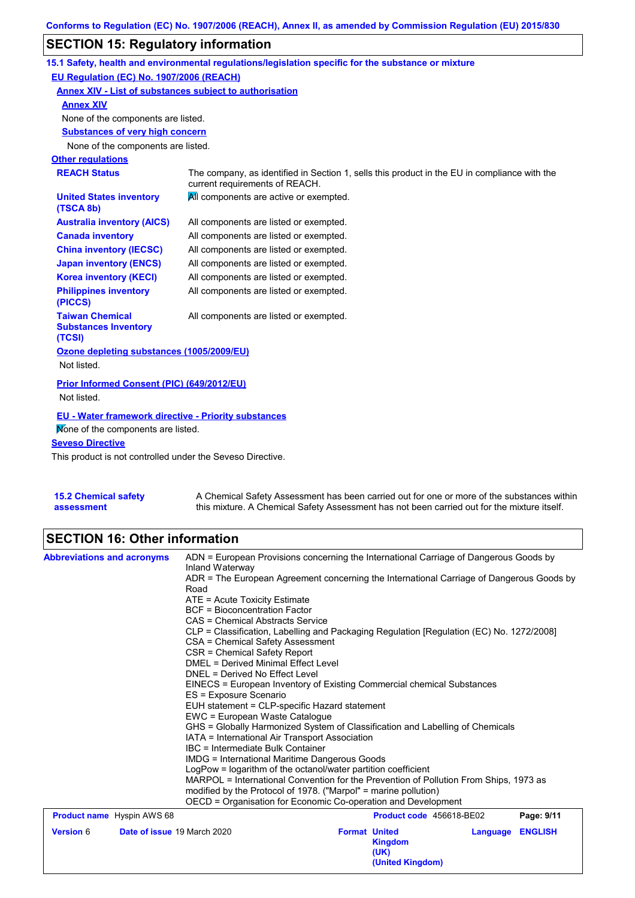# **SECTION 15: Regulatory information**

|                                                                 | 15.1 Safety, health and environmental regulations/legislation specific for the substance or mixture                            |
|-----------------------------------------------------------------|--------------------------------------------------------------------------------------------------------------------------------|
| EU Regulation (EC) No. 1907/2006 (REACH)                        |                                                                                                                                |
| Annex XIV - List of substances subject to authorisation         |                                                                                                                                |
| <b>Annex XIV</b>                                                |                                                                                                                                |
| None of the components are listed.                              |                                                                                                                                |
| <b>Substances of very high concern</b>                          |                                                                                                                                |
| None of the components are listed.                              |                                                                                                                                |
| <b>Other regulations</b>                                        |                                                                                                                                |
| <b>REACH Status</b>                                             | The company, as identified in Section 1, sells this product in the EU in compliance with the<br>current requirements of REACH. |
| <b>United States inventory</b><br>(TSCA 8b)                     | All components are active or exempted.                                                                                         |
| <b>Australia inventory (AICS)</b>                               | All components are listed or exempted.                                                                                         |
| <b>Canada inventory</b>                                         | All components are listed or exempted.                                                                                         |
| <b>China inventory (IECSC)</b>                                  | All components are listed or exempted.                                                                                         |
| <b>Japan inventory (ENCS)</b>                                   | All components are listed or exempted.                                                                                         |
| <b>Korea inventory (KECI)</b>                                   | All components are listed or exempted.                                                                                         |
| <b>Philippines inventory</b><br>(PICCS)                         | All components are listed or exempted.                                                                                         |
| <b>Taiwan Chemical</b><br><b>Substances Inventory</b><br>(TCSI) | All components are listed or exempted.                                                                                         |
| Ozone depleting substances (1005/2009/EU)                       |                                                                                                                                |
| Not listed.                                                     |                                                                                                                                |
| Prior Informed Consent (PIC) (649/2012/EU)<br>Not listed.       |                                                                                                                                |
|                                                                 |                                                                                                                                |
| EU - Water framework directive - Priority substances            |                                                                                                                                |
| Mone of the components are listed.                              |                                                                                                                                |
| <b>Seveso Directive</b>                                         |                                                                                                                                |
| This product is not controlled under the Seveso Directive       |                                                                                                                                |

This product is not controlled under the Seveso Directive.

| <b>15.2 Chemical safety</b> | A Chemical Safety Assessment has been carried out for one or more of the substances within  |
|-----------------------------|---------------------------------------------------------------------------------------------|
| assessment                  | this mixture. A Chemical Safety Assessment has not been carried out for the mixture itself. |

# **SECTION 16: Other information**

| <b>Abbreviations and acronyms</b> |                                                                                                                                                   | ADN = European Provisions concerning the International Carriage of Dangerous Goods by                                                                             |  |                          |          |                |  |  |
|-----------------------------------|---------------------------------------------------------------------------------------------------------------------------------------------------|-------------------------------------------------------------------------------------------------------------------------------------------------------------------|--|--------------------------|----------|----------------|--|--|
|                                   |                                                                                                                                                   | Inland Waterway                                                                                                                                                   |  |                          |          |                |  |  |
|                                   |                                                                                                                                                   | ADR = The European Agreement concerning the International Carriage of Dangerous Goods by<br>Road<br>ATE = Acute Toxicity Estimate                                 |  |                          |          |                |  |  |
|                                   |                                                                                                                                                   |                                                                                                                                                                   |  |                          |          |                |  |  |
|                                   |                                                                                                                                                   | <b>BCF</b> = Bioconcentration Factor                                                                                                                              |  |                          |          |                |  |  |
|                                   |                                                                                                                                                   | CAS = Chemical Abstracts Service                                                                                                                                  |  |                          |          |                |  |  |
|                                   |                                                                                                                                                   | CLP = Classification, Labelling and Packaging Regulation [Regulation (EC) No. 1272/2008]<br>CSA = Chemical Safety Assessment                                      |  |                          |          |                |  |  |
|                                   |                                                                                                                                                   |                                                                                                                                                                   |  |                          |          |                |  |  |
|                                   |                                                                                                                                                   | CSR = Chemical Safety Report                                                                                                                                      |  |                          |          |                |  |  |
|                                   |                                                                                                                                                   | DMEL = Derived Minimal Effect Level                                                                                                                               |  |                          |          |                |  |  |
|                                   |                                                                                                                                                   | DNEL = Derived No Effect Level                                                                                                                                    |  |                          |          |                |  |  |
|                                   | EINECS = European Inventory of Existing Commercial chemical Substances<br>ES = Exposure Scenario<br>EUH statement = CLP-specific Hazard statement |                                                                                                                                                                   |  |                          |          |                |  |  |
|                                   |                                                                                                                                                   |                                                                                                                                                                   |  |                          |          |                |  |  |
|                                   |                                                                                                                                                   | EWC = European Waste Catalogue<br>GHS = Globally Harmonized System of Classification and Labelling of Chemicals<br>IATA = International Air Transport Association |  |                          |          |                |  |  |
|                                   |                                                                                                                                                   |                                                                                                                                                                   |  |                          |          |                |  |  |
|                                   |                                                                                                                                                   |                                                                                                                                                                   |  |                          |          |                |  |  |
|                                   | IBC = Intermediate Bulk Container<br><b>IMDG = International Maritime Dangerous Goods</b>                                                         |                                                                                                                                                                   |  |                          |          |                |  |  |
|                                   |                                                                                                                                                   |                                                                                                                                                                   |  |                          |          |                |  |  |
|                                   |                                                                                                                                                   | LogPow = logarithm of the octanol/water partition coefficient                                                                                                     |  |                          |          |                |  |  |
|                                   |                                                                                                                                                   | MARPOL = International Convention for the Prevention of Pollution From Ships, 1973 as                                                                             |  |                          |          |                |  |  |
|                                   |                                                                                                                                                   | modified by the Protocol of 1978. ("Marpol" = marine pollution)                                                                                                   |  |                          |          |                |  |  |
|                                   |                                                                                                                                                   | OECD = Organisation for Economic Co-operation and Development                                                                                                     |  |                          |          |                |  |  |
| <b>Product name</b> Hyspin AWS 68 |                                                                                                                                                   |                                                                                                                                                                   |  | Product code 456618-BE02 |          | Page: 9/11     |  |  |
| <b>Version 6</b>                  |                                                                                                                                                   | Date of issue 19 March 2020                                                                                                                                       |  | <b>Format United</b>     | Language | <b>ENGLISH</b> |  |  |
|                                   |                                                                                                                                                   |                                                                                                                                                                   |  | <b>Kingdom</b>           |          |                |  |  |
|                                   |                                                                                                                                                   |                                                                                                                                                                   |  | (UK)                     |          |                |  |  |
|                                   |                                                                                                                                                   |                                                                                                                                                                   |  | (United Kingdom)         |          |                |  |  |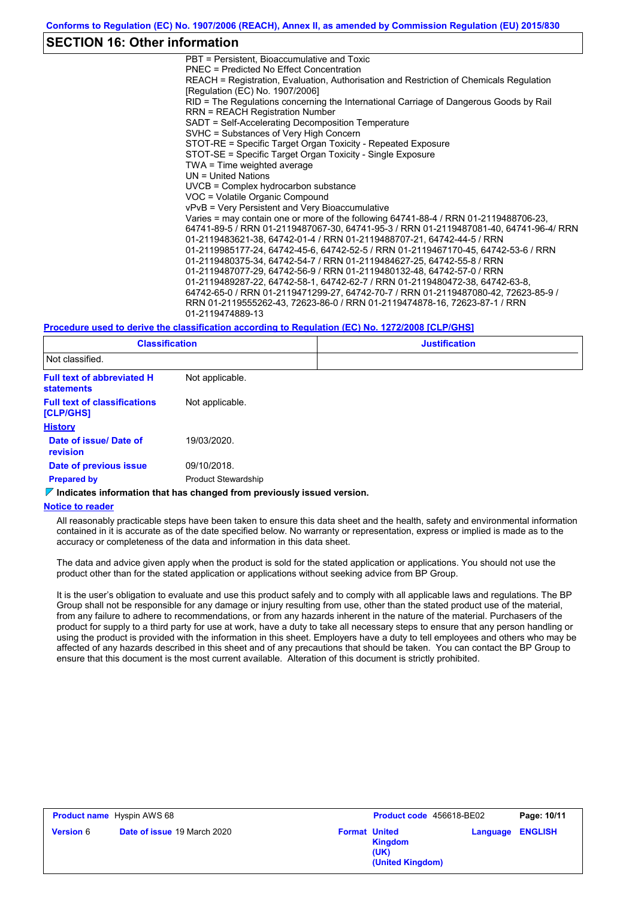## **SECTION 16: Other information**

PBT = Persistent, Bioaccumulative and Toxic PNEC = Predicted No Effect Concentration REACH = Registration, Evaluation, Authorisation and Restriction of Chemicals Regulation [Regulation (EC) No. 1907/2006] RID = The Regulations concerning the International Carriage of Dangerous Goods by Rail RRN = REACH Registration Number SADT = Self-Accelerating Decomposition Temperature SVHC = Substances of Very High Concern STOT-RE = Specific Target Organ Toxicity - Repeated Exposure STOT-SE = Specific Target Organ Toxicity - Single Exposure TWA = Time weighted average UN = United Nations UVCB = Complex hydrocarbon substance VOC = Volatile Organic Compound vPvB = Very Persistent and Very Bioaccumulative Varies = may contain one or more of the following 64741-88-4 / RRN 01-2119488706-23, 64741-89-5 / RRN 01-2119487067-30, 64741-95-3 / RRN 01-2119487081-40, 64741-96-4/ RRN 01-2119483621-38, 64742-01-4 / RRN 01-2119488707-21, 64742-44-5 / RRN 01-2119985177-24, 64742-45-6, 64742-52-5 / RRN 01-2119467170-45, 64742-53-6 / RRN 01-2119480375-34, 64742-54-7 / RRN 01-2119484627-25, 64742-55-8 / RRN 01-2119487077-29, 64742-56-9 / RRN 01-2119480132-48, 64742-57-0 / RRN 01-2119489287-22, 64742-58-1, 64742-62-7 / RRN 01-2119480472-38, 64742-63-8, 64742-65-0 / RRN 01-2119471299-27, 64742-70-7 / RRN 01-2119487080-42, 72623-85-9 / RRN 01-2119555262-43, 72623-86-0 / RRN 01-2119474878-16, 72623-87-1 / RRN 01-2119474889-13

#### **Procedure used to derive the classification according to Regulation (EC) No. 1272/2008 [CLP/GHS]**

| <b>Classification</b>                                  |                            | <b>Justification</b> |
|--------------------------------------------------------|----------------------------|----------------------|
| Not classified.                                        |                            |                      |
| <b>Full text of abbreviated H</b><br><b>statements</b> | Not applicable.            |                      |
| <b>Full text of classifications</b><br>[CLP/GHS]       | Not applicable.            |                      |
| <b>History</b>                                         |                            |                      |
| Date of issue/Date of<br><b>revision</b>               | 19/03/2020.                |                      |
| Date of previous issue                                 | 09/10/2018.                |                      |
| <b>Prepared by</b>                                     | <b>Product Stewardship</b> |                      |

#### **Indicates information that has changed from previously issued version.**

#### **Notice to reader**

All reasonably practicable steps have been taken to ensure this data sheet and the health, safety and environmental information contained in it is accurate as of the date specified below. No warranty or representation, express or implied is made as to the accuracy or completeness of the data and information in this data sheet.

The data and advice given apply when the product is sold for the stated application or applications. You should not use the product other than for the stated application or applications without seeking advice from BP Group.

It is the user's obligation to evaluate and use this product safely and to comply with all applicable laws and regulations. The BP Group shall not be responsible for any damage or injury resulting from use, other than the stated product use of the material, from any failure to adhere to recommendations, or from any hazards inherent in the nature of the material. Purchasers of the product for supply to a third party for use at work, have a duty to take all necessary steps to ensure that any person handling or using the product is provided with the information in this sheet. Employers have a duty to tell employees and others who may be affected of any hazards described in this sheet and of any precautions that should be taken. You can contact the BP Group to ensure that this document is the most current available. Alteration of this document is strictly prohibited.

| <b>Product name</b> Hyspin AWS 68 |                                    | Product code 456618-BE02 | Page: 10/11                                |          |                |
|-----------------------------------|------------------------------------|--------------------------|--------------------------------------------|----------|----------------|
| <b>Version 6</b>                  | <b>Date of issue 19 March 2020</b> | <b>Format United</b>     | <b>Kingdom</b><br>(UK)<br>(United Kingdom) | Language | <b>ENGLISH</b> |